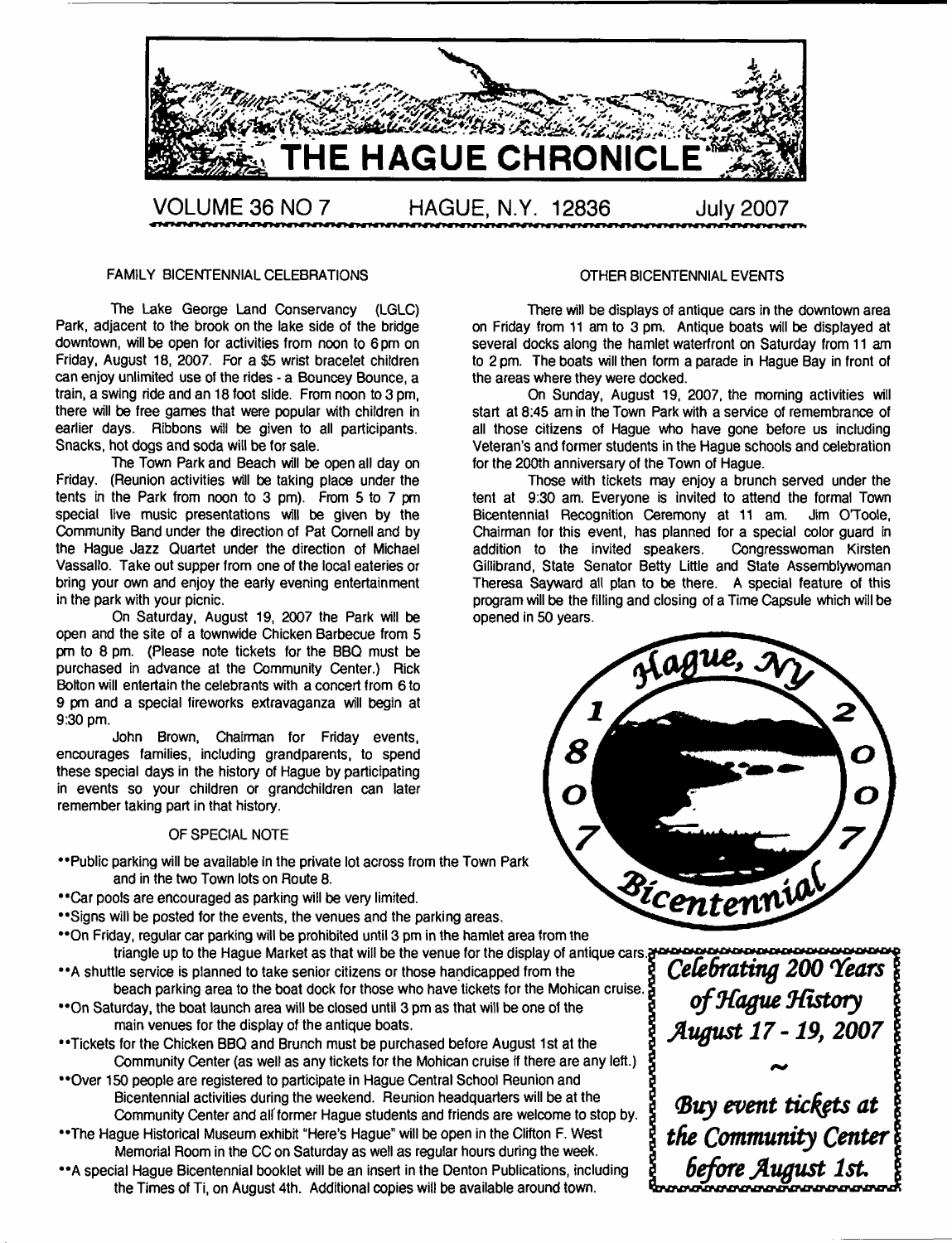

#### **FAMILY BICENTENNIAL CELEBRATIONS**

**The Lake George Land Conservancy (LGLC) Park, adjacent to the brook on the lake side of the bridge downtown, will be open for activities from noon to 6 pm on Friday, August 18, 2007. For a \$5 wrist bracelet children can enjoy unlimited use of the rides - a Bouncey Bounce, a train, a swing ride and an 18 foot slide. From noon to 3 pm, there will be free games that were popular with children in earlier days. Ribbons will be given to all participants. Snacks, hot dogs and soda will be for sale.**

**The Town Park and Beach will be open all day on Friday. (Reunion activities will be taking plaoe under the tents in the Park from noon to 3 pm). From 5 to 7 pm special live music presentations will be given by the Community Band under the direction of Pat Cornel! and by the Hague Jazz Quartet under the direction of Michael Vassallo. Take out supper from one of the local eateries or bring your own and enjoy the early evening entertainment in the park with your picnic.**

**On Saturday, August 19, 2007 the Park will be open and the site of a townwide Chicken Barbecue from 5 pm to 8 pm. (Please note tickets for the BBQ must be purchased in advance at the Community Center.) Rick Bolton will entertain the celebrants with a concert from 6 to 9 pm and a special fireworks extravaganza will begin at 9:30 pm.**

**John Brown, Chairman for Friday events, encourages families, including grandparents, to spend these special days in the history of Hague by participating in events so your children or grandchildren can later remember taking part in that history.**

#### **OF SPECIAL NOTE**

- **••Public parking will be available In the private lot across from the Town Park and in the two Town lots on Route 8.**
- **••C ar pools are encouraged as parking will be very limited.**
- **••Signs will be posted for the events, the venues and the parking areas.**
- **••On Friday, regular car parking will be prohibited until 3 pm in the hamlet area from the triangle up to the Hague Market as that will be the venue for the display of antique cars.**
- **••A shuttle service is planned to take senior citizens or those handicapped from the beach parking area to the boat dock for those who have tickets for the Mohican cruise.**
- **••On Saturday, the boat launch area will be closed until 3 pm as that will be one of the main venues for the display of the antique boats.**
- **••Tickets for the Chicken BBQ and Brunch must be purchased before August 1st at the Community Center (as well as any tickets for the Mohican cruise if there are any left.)**
- **••Over 150 people are registered to participate in Hague Central School Reunion and Bicentennial activities during the weekend. Reunion headquarters will be at the Community Center and alt former Hague students and friends are welcome to stop by.**
- **••The Hague Historical Museum exhibit "Here's Hague" will be open in the Clifton F. West Memorial Room in the CC on Saturday as well as regular hours during the week.**
- **•\*A special Hague Bicentennial booklet will be an insert in the Denton Publications, including the Times of Ti, on August 4th. Additional copies will be available around town.**

#### **OTHER BICENTENNIAL EVENTS**

**There will be displays of antique cars in the downtown area on Friday from 11 am to 3 pm. Antique boats will be displayed at several docks along the hamlet waterfront on Saturday from 11 am to 2 pm. The boats will then form a parade in Hague Bay in front of the areas where they were docked.**

**On Sunday, August 19, 2007, the morning activities will start at 8:45 am in the Town Park with a service of remembrance of all those citizens of Hague who have gone before us including Veteran's and former students in the Hague schools and celebration for the 200th anniversary of the Town of Hague.**

**Those with tickets may enjoy a brunch served under the tent at 9:30 am. Everyone is invited to attend the formal Town Bicentennial Recognition Ceremony at 11 am. Chairman for this event, has planned for a special color guard in** addition to the invited speakers. **Giliibrand, State Senator Betty Little and State Assemblywoman Theresa Sayward all plan to be there. A special feature of this program will be the filling and closing of a Time Capsule which will be opened in 50 years.**



*Celebrating 200 'Years ofJfague ^History Avgust 17-19, 2007*

Buy event tickets at *the Community Center 6efore August 1st.*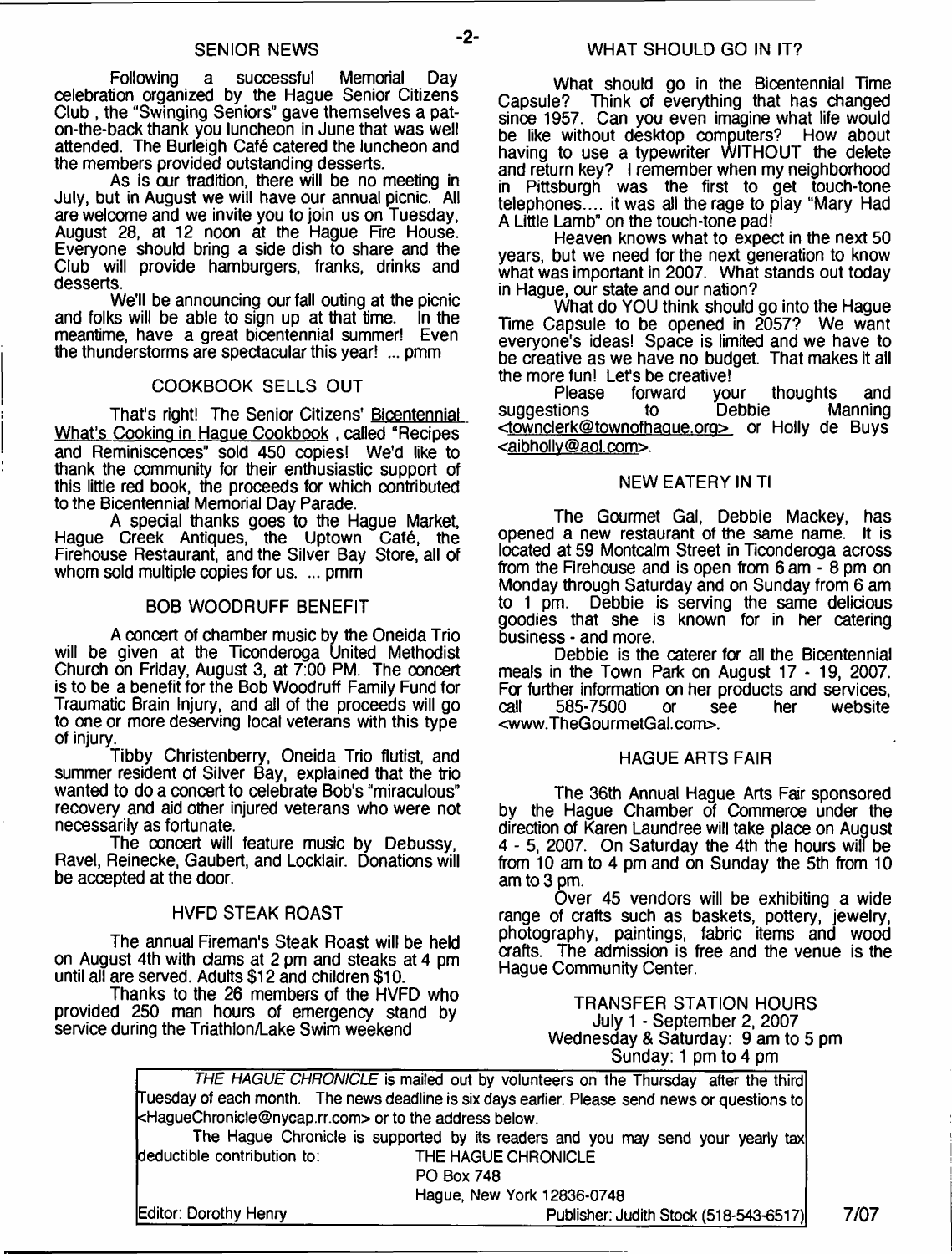Following a successful Memorial Day celebration organized by the Hague Senior Citizens Club , the "Swinging Seniors" gave themselves a paton-the-back thank you luncheon in June that was well attended. The Burleigh Cafe catered the luncheon and the members provided outstanding desserts.

As is our tradition, there will be no meeting in July, but in August we will have our annual picnic. All are welcome and we invite you to join us on Tuesday, August 28, at 12 noon at the Hague Rre House. Everyone should bring a side dish to share and the Club will provide hamburgers, franks, drinks and desserts.

We'll be announcing our fall outing at the picnic<br>is will be able to sign up at that time. In the and folks will be able to sign up at that time. meantime, have a great bicentennial summer! Even the thunderstorms are spectacular this year! ... pmm

#### COOKBOOK SELLS OUT

That's right! The Senior Citizens' Bicentennial What's Cooking in Hague Cookbook , called "Recipes and Reminiscences" sold 450 copies! We'd like to thank the community for their enthusiastic support of this little red book, the proceeds for which contributed to the Bicentennial Memorial Day Parade.

A special thanks goes to the Hague Market, Hague Creek Antiques, the Uptown Cafe, the Firehouse Restaurant, and the Silver Bay Store, all of whom sold multiple copies for us. ... pmm

#### BOB WOODRUFF BENEFIT

A concert of chamber music by the Oneida Trio will be given at the Ticonderoga United Methodist Church on Friday, August 3, at 7:00 PM. The ooncert is to be a benefit for the Bob Woodruff Family Fund for Traumatic Brain Injury, and all of the proceeds will go to one or more deserving local veterans with this type of injury.

Tibby Christenberry, Oneida Trio flutist, and summer resident of Silver Bay, explained that the trio wanted to do a concert to celebrate Bob's "miraculous" recovery and aid other injured veterans who were not necessarily as fortunate.

The ooncert will feature music by Debussy, Ravel, Reinecke, Gaubert, and Locklair. Donations will be accepted at the door.

#### HVFD STEAK ROAST

The annual Fireman's Steak Roast will be held on August 4th with dams at 2 pm and steaks at 4 pm until all are served. Adults \$12 and children \$10.

Thanks to the 26 members of the HVFD who provided 250 man hours of emergency stand by service during the Triathlon/Lake Swim weekend

What should go in the Bicentennial Time Capsule? Think of everything that has changed since 1957. Can you even imagine what life would be like without desktop computers? How about having to use a typewriter WITHOUT the delete and return key? I remember when my neighborhood in Pittsburgh was the first to get touch-tone telephones.... it was all the rage to play "Mary Had A Little Lamb" on the touch-tone pad!

Heaven knows what to expect in the next 50 years, but we need for the next generation to know what was important in 2007. What stands out today in Hague, our state and our nation?

What do YOU think should go into the Hague Time Capsule to be opened in 2057? We want everyone's ideas! Space is limited and we have to be creative as we have no budget. That makes it all the more fun! Let's be creative!<br>Please forward vour

Prward your thoughts and<br>to Debbie Manning suggestions <[townderk@townofhaQue.ora](mailto:townderk@townofhaQue.ora)> or Holly de Buys <[aibhollv@aol.com](mailto:aibhollv@aol.com)>.

#### NEW EATERY IN Tl

The Gourmet Gal, Debbie Mackey, has<br>La new restaurant of the same name. It is opened a new restaurant of the same name. located at 59 Montcalm Street in Ticonderoga across from the Firehouse and is open from 6 am - 8 pm on Monday through Saturday and on Sunday from 6 am to 1 pm. Debbie is serving the same delicious goodies that she is known for in her catering business - and more.

Debbie is the caterer for all the Bicentennial meals in the Town Park on August 17 - 19, 2007. For further information on her products and services,<br>call 585-7500 or see her website 585-7500 <[www.TheGourmetGal.com](http://www.TheGourmetGal.com)>.

#### HAGUE ARTS FAIR

The 36th Annual Hague Arts Fair sponsored by the Hague Chamber of Commerce under the direction of Karen Laundree will take place on August 4 - 5, 2007. On Saturday the 4th the hours will be from 10 am to 4 pm and on Sunday the 5th from 10 am to 3 pm.

Over 45 vendors will be exhibiting a wide range of crafts such as baskets, pottery, jewelry, photography, paintings, fabric items and wood aafts. The admission is free and the venue is the Hague Community Center.

> TRANSFER STATION HOURS July 1 - September 2, 2007 Wednesday & Saturday: 9 am to 5 pm Sunday: 1 pm to 4 pm

| THE HAGUE CHHONICLE is mailed out by volunteers on the Thursday after the third                 |      |  |  |  |
|-------------------------------------------------------------------------------------------------|------|--|--|--|
| [Tuesday of each month. The news deadline is six days earlier. Please send news or questions to |      |  |  |  |
| kHagueChronicle@nycap.rr.com> or to the address below.                                          |      |  |  |  |
| The Hague Chronicle is supported by its readers and you may send your yearly tax                |      |  |  |  |
| deductible contribution to:<br>THE HAGUE CHRONICLE                                              |      |  |  |  |
| <b>PO Box 748</b>                                                                               |      |  |  |  |
| Hague, New York 12836-0748                                                                      |      |  |  |  |
| Editor: Dorothy Henry<br>Publisher: Judith Stock (518-543-6517)                                 | 7/07 |  |  |  |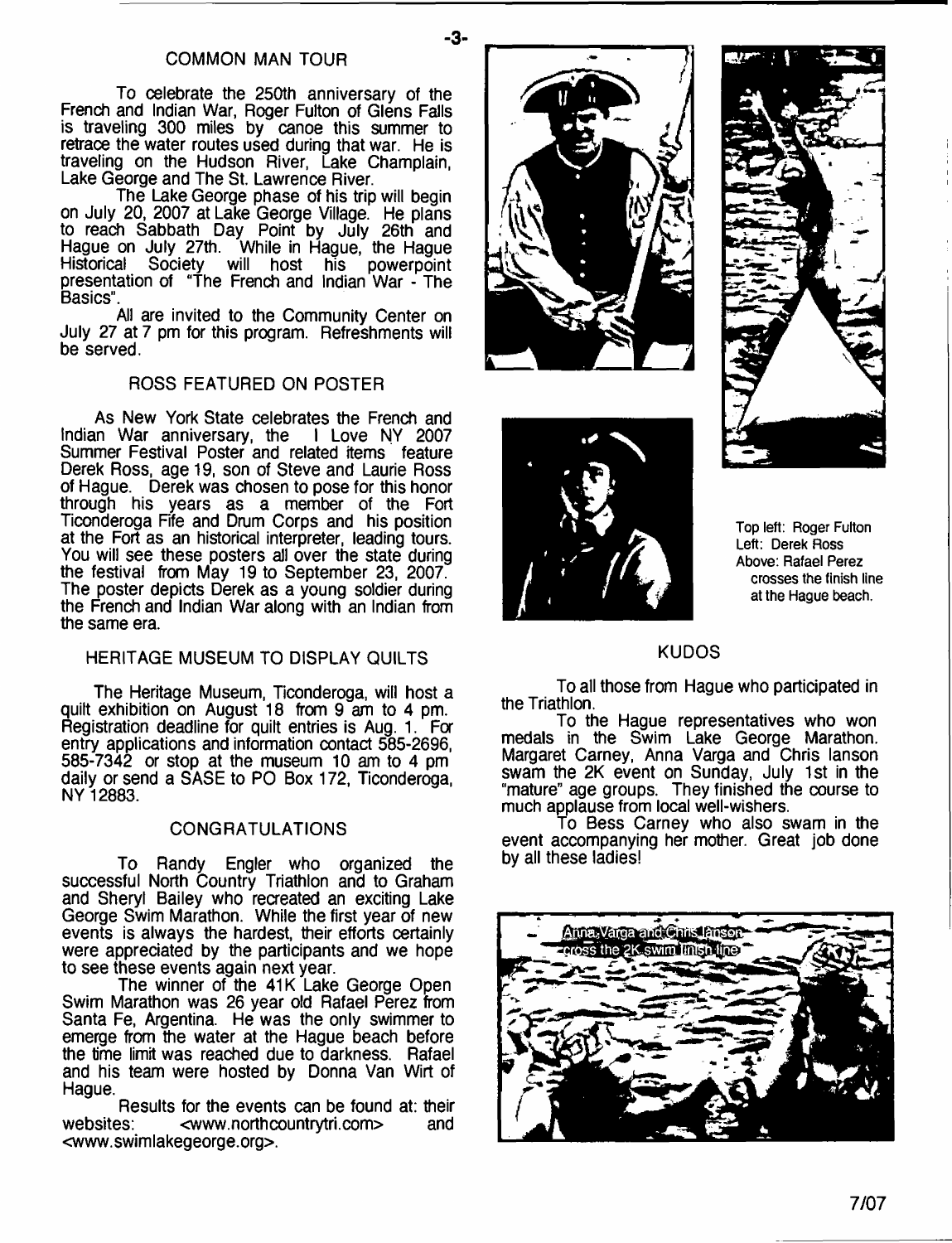#### COMMON MAN TOUR

To celebrate the 250th anniversary of the French and Indian War, Roger Fulton of Glens Falls is traveling 300 miles by canoe this summer to retrace the water routes used during that war. He is traveling on the Hudson River, Lake Champlain, Lake George and The St. Lawrence River.

The Lake George phase of his trip will begin on July 20, 2007 at Lake George Village. He plans to reach Sabbath Day Point by July 26th and Hague on July 27th. While in Hague, the Hague Historical Society will host his powerpoint presentation of "The French and Indian War - The Basics".

All are invited to the Community Center on July 27 at 7 pm for this program. Refreshments will be served.

### ROSS FEATURED ON POSTER

As New York State celebrates the French and Indian War anniversary, the I Love NY 2007 Summer Festival Poster and related items feature Derek Ross, age 19, son of Steve and Laurie Ross of Hague. Derek was chosen to pose for this honor through his years as a member of the Fort Ticonderoga Fife and Drum Corps and his position at the Fort as an historical interpreter, leading tours. You will see these posters all over the state during the festival from May 19 to September 23, 2007. The poster depicts Derek as a young soldier during the French and Indian War along with an Indian from the same era.

#### HERITAGE MUSEUM TO DISPLAY QUILTS

The Heritage Museum, Ticonderoga, will host a quilt exhibition on August 18 from 9 am to 4 pm. Registration deadline for quilt entries is Aug. 1. For entry applications and information contact 585-2696, 585-7342 or stop at the museum 10 am to 4 pm daily or send a SASE to PO Box 172, Ticonderoga, NY 12883.

#### CONGRATULATIONS

To Randy Engler who organized the successful North Country Triathlon and to Graham and Sheryl Bailey who recreated an exciting Lake George Swim Marathon. While the first year of new events is always the hardest, their efforts certainly were appreciated by the participants and we hope to see these events again next year.

The winner of the 41K Lake George Open Swim Marathon was 26 year old Rafael Perez from Santa Fe, Argentina. He was the only swimmer to emerge from the water at the Hague beach before the time limit was reached due to darkness. Rafael and his team were hosted by Donna Van Wirt of Hague.

Results for the events can be found at: their websites: [<www.northcountrytri.com>](http://www.northcountrytri.com) and <[www.swimlakegeorge.org](http://www.swimlakegeorge.org)>.



**-3-**





**Top left: Roger Fulton Left: Derek Ross Above: Rafael Perez crosses the finish line at the Hague beach.**

#### KUDOS

To all those from Hague who participated in the Triathlon.

To the Hague representatives who won medals in the Swim Lake George Marathon. Margaret Carney, Anna Varga and Chris lanson swam the 2K event on Sunday, July 1st in the "mature" age groups. They finished the course to much applause from local well-wishers.

To Bess Carney who also swam in the event accompanying her mother. Great job done by all these ladies!

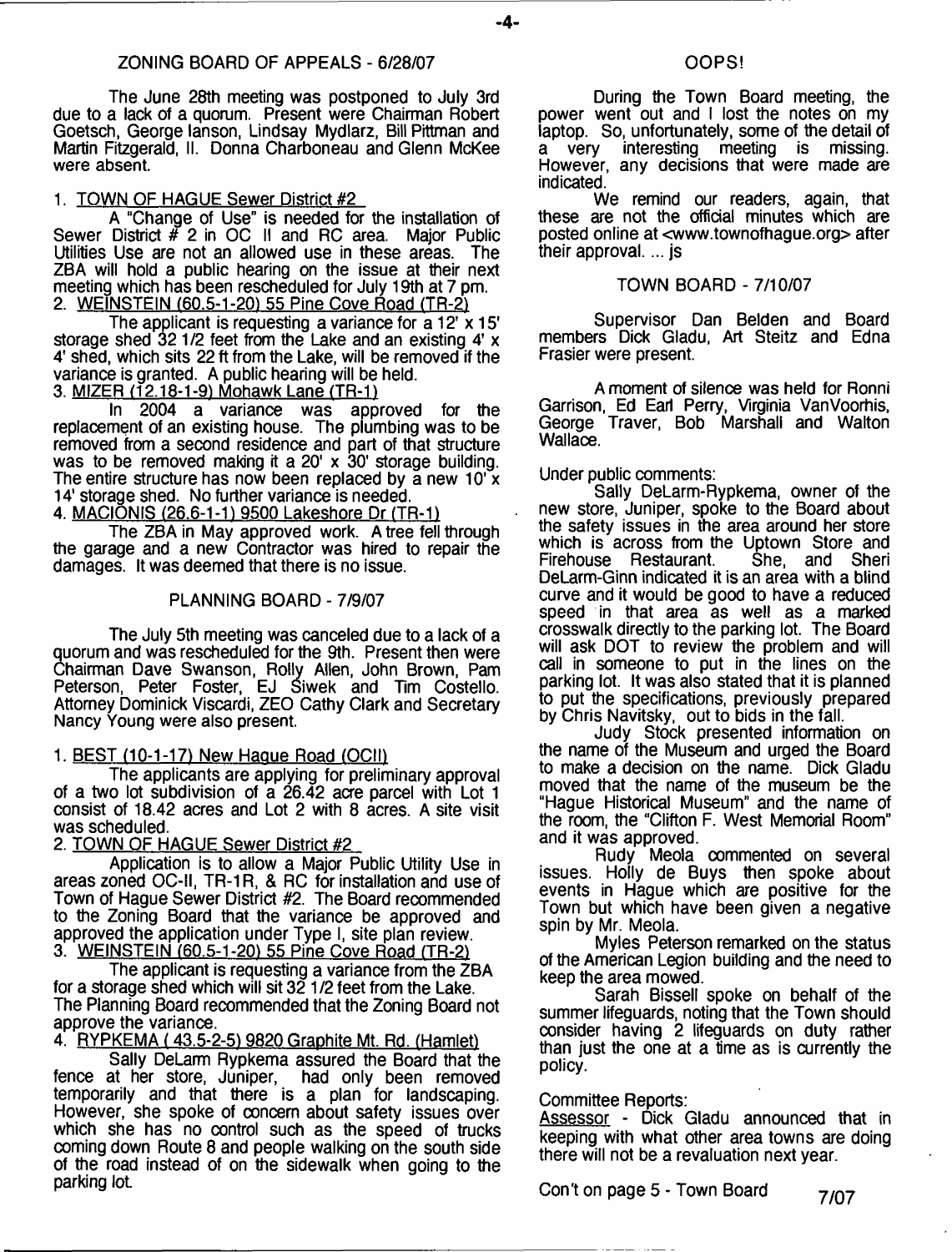#### ZONING BOARD OF APPEALS - 6/28/07

The June 28th meeting was postponed to July 3rd due to a lack of a quorum. Present were Chairman Robert Goetsch, George lanson, Lindsay Mydlarz, Bill Pittman and Martin Fitzgerald, II. Donna Charboneau and Glenn McKee were absent.

#### 1. TOWN OF HAGUE Sewer District #2

A "Change of Use" is needed for the installation of Sewer District # 2 in OC II and RC area. Major Public Utilities Use are not an allowed use in these areas. The ZBA will hold a public hearing on the issue at their next meeting which has been rescheduled for July 19th at 7 pm. 2. WEINSTEIN (60.5-1-20) 55 Pine Cove Road (TR-2)

The applicant is requesting a variance for a 12' x 15' storage shed 321/2 feet from the Lake and an existing 4' x 4' shed, which sits 22 ft from the Lake, will be removed if the variance is granted. A public hearing will be held.

3. <u>MIZER (12.18-1-9) Mohawk Lane (TR-1)</u>

In 2004 a variance was approved for the replacement of an existing house. The plumbing was to be removed from a second residence and part of that structure was to be removed making it a 20' x 30' storage building. The entire structure has now been replaced by a new  $10^{7}x$ 14' storage shed. No further variance is needed.

4. MACIONIS (26.6-1-1) 9500 Lakeshore Dr (TR-1)

The ZBA in May approved work. A tree fell through the garage and a new Contractor was hired to repair the damages. It was deemed that there is no issue.

#### PLANNING BOARD - 7/9/07

The July 5th meeting was canceled due to a lack of a quorum and was rescheduled for the 9th. Present then were Chairman Dave Swanson, Roily Allen, John Brown, Pam Peterson, Peter Foster, EJ Siwek and Tim Costello. Attorney Dominick Viscardi, ZEO Cathy Clark and Secretary Nancy Young were also present.

#### 1. BEST (10-1-17) New Haque Road (OCII)

The applicants are applying for preliminary approval of a two lot subdivision of a 26.42 acre parcel with Lot 1 consist of 18.42 acres and Lot 2 with 8 acres. A site visit was scheduled.

#### 2. TOWN OF HAGUE Sewer District #2

Application is to allow a Major Public Utility Use in areas zoned OC-II, TR-1R, & RC for installation and use of Town of Hague Sewer District #2. The Board recommended to the Zoning Board that the variance be approved and approved the application under Type I, site plan review. 3. WEINSTEIN (60.5-1-20) 55 Pine Cove Road (TR-2)

The applicant is requesting a variance from the ZBA for a storage shed which will sit 32 1/2 feet from the Lake. The Planning Board recommended that the Zoning Board not approve the variance.

4. RYPKEMA (43.5-2-519820 Graphite Mt. Rd. (Hamlet)

Sally DeLarm Rypkema assured the Board that the fence at her store, Juniper, had only been removed temporarily and that there is a plan for landscaping. However, she spoke of concern about safety issues over which she has no control such as the speed of trucks coming down Route 8 and people walking on the south side of the road instead of on the sidewalk when going to the parking lot.

#### OOPS!

During the Town Board meeting, the power went out and I lost the notes on my laptop. So, unfortunately, some of the detail of a very interesting meeting is missing. interesting meeting is missing. However, any decisions that were made are indicated.

We remind our readers, again, that these are not the official minutes which are posted online at <[www.townofhague.org](http://www.townofhague.org)> after their approval.... js

#### TOWN BOARD - 7/10/07

Supervisor Dan Belden and Board members Dick Gladu, Art Steitz and Edna Frasier were present.

A moment of silence was held for Ronni Garrison, Ed Earl Perry, Virginia VanVoorhis, George Traver, Bob Marshall and Walton Wallace.

#### Under public comments:

Sally DeLarm-Rypkema, owner of the new store, Juniper, spoke to the Board about the safety issues in the area around her store which is across from the Uptown Store and<br>Firehouse Restaurant. She, and Sheri Firehouse Restaurant. DeLarm-Ginn indicated it is an area with a blind curve and it would be good to have a reduced speed in that area as well as a marked crosswalk directly to the parking lot. The Board will ask DOT to review the problem and will call in someone to put in the lines on the parking lot. It was also stated that it is planned to put the specifications, previously prepared by Chris Navitsky, out to bids in the fall.

Judy Stock presented information on the name of the Museum and urged the Board to make a decision on the name. Dick Gladu moved that the name of the museum be the "Hague Historical Museum" and the name of the room, the "Clifton F. West Memorial Room" and it was approved.

Rudy Meola commented on several issues. Holly de Buys then spoke about events in Hague which are positive for the Town but which have been given a negative spin by Mr. Meola.

Myles Peterson remarked on the status of the American Legion building and the need to keep the area mowed.

Sarah Bissell spoke on behalf of the summer lifeguards, noting that the Town should consider having 2 lifeguards on duty rather than just the one at a time as is currently the policy.

#### Committee Reports:

Assessor - Dick Gladu announced that in keeping with what other area towns are doing there will not be a revaluation next year.

Con't on page 5 - Town Board *7/07*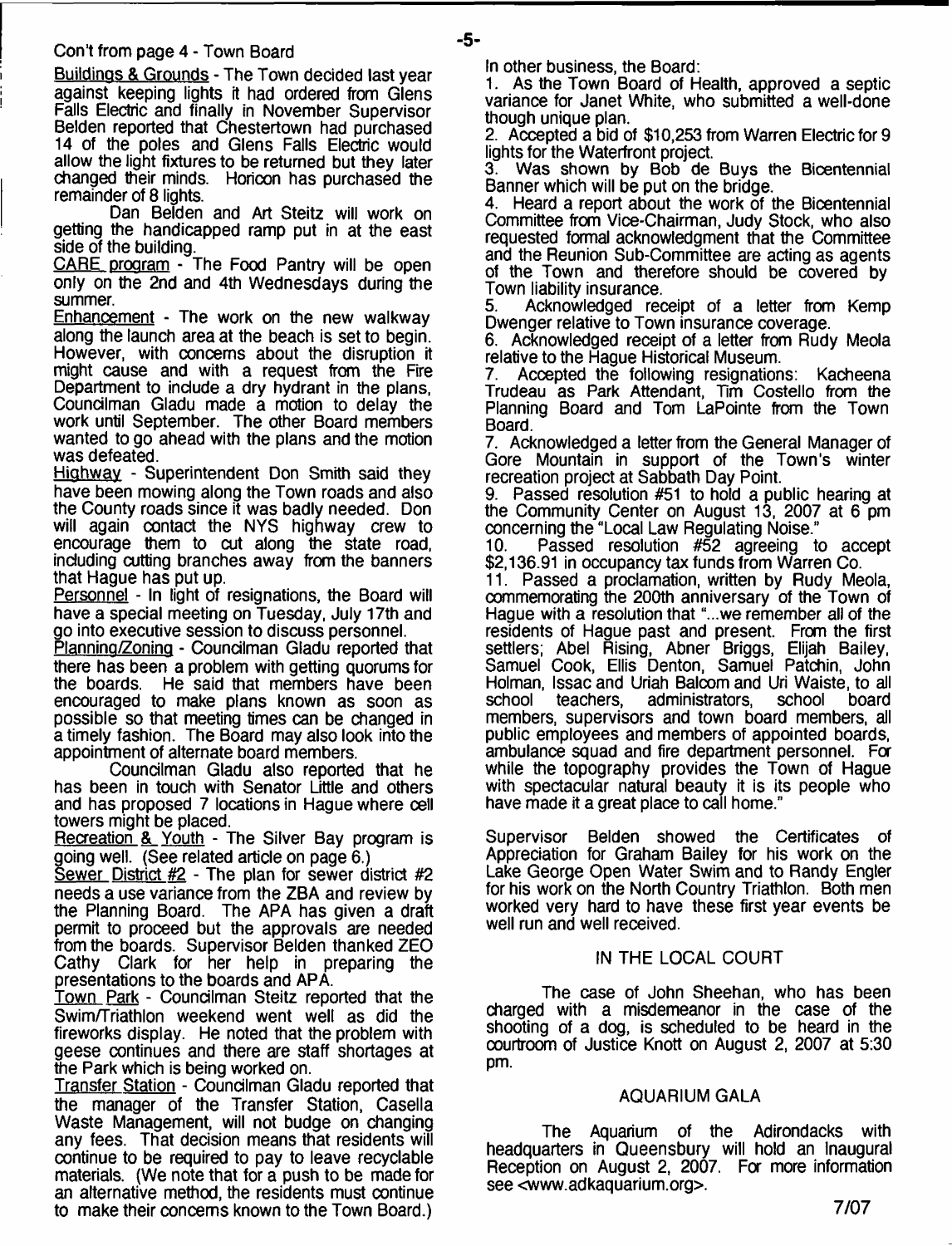#### Con't from page 4 - Town Board

Buildinos & Grounds - The Town decided last year against keeping lights it had ordered from Glens Falls Electric and finally in November Supervisor Belden reported that Chestertown had purchased 14 of the poles and Glens Falls Electric would allow the light fixtures to be returned but they later changed their minds. Horicon has purchased the remainder of 8 lights.

Dan Belden and Art Steitz will work on getting the handicapped ramp put in at the east side of the building.

CARE program - The Food Pantry will be open only on the 2nd and 4th Wednesdays during the summer.

Enhancement - The work on the new walkway along the launch area at the beach is set to begin. However, with concerns about the disruption it might cause and with a request from the Fire Department to include a dry hydrant in the plans, Councilman Gladu made a motion to delay the work until September. The other Board members wanted to go ahead with the plans and the motion was defeated.

Highway - Superintendent Don Smith said they have been mowing along the Town roads and also the County roads since it was badly needed. Don will again contact the NYS highway crew to encourage them to cut along the state road, including cutting branches away from the banners that Hague has put up.

Personnel - In light of resignations, the Board will have a special meeting on Tuesday, July 17th and go into executive session to discuss personnel.

Planning/Zoning - Councilman Gladu reported that there has been a problem with getting quorums for<br>the boards. He said that members have been He said that members have been encouraged to make plans known as soon as possible so that meeting times can be changed in a timely fashion. The Board may also look into the appointment of alternate board members.

Councilman Gladu also reported that he has been in touch with Senator Little and others and has proposed 7 locations in Hague where cell towers might be placed.

Recreation & Youth - The Silver Bay program is going well. (See related article on page 6.)

Sewer District  $#2$  - The plan for sewer district  $#2$ needs a use variance from the ZBA and review by the Planning Board. The APA has given a draft permit to proceed but the approvals are needed from the boards. Supervisor Belden thanked ZEO Cathy Clark for her help in preparing the presentations to the boards and APA.

Town Park - Councilman Steitz reported that the Swim/Triathlon weekend went well as did the fireworks display. He noted that the problem with geese continues and there are staff shortages at the Park which is being worked on.

Transfer Station - Councilman Gladu reported that the manager of the Transfer Station, Casella Waste Management, will not budge on changing any fees. That decision means that residents will continue to be required to pay to leave recyclable materials. (We note that for a push to be made for an alternative method, the residents must continue to make their concerns known to the Town Board.)

In other business, the Board:

-5-

1. As the Town Board of Health, approved a septic variance for Janet White, who submitted a well-done though unique plan.

2. Accepted a bid of \$10,253 from Warren Electric for 9 lights for the Waterfront project.<br>3. Was shown by Bob de

Was shown by Bob de Buys the Bicentennial Banner which will be put on the bridge.<br>4. Heard a report about the work of 1

4. Heard a report about the work of the Bicentennial Committee from Vice-Chairman, Judy Stock, who also requested formal acknowledgment that the Committee and the Reunion Sub-Committee are acting as agents of the Town and therefore should be covered by Town liability insurance.<br>5. Acknowledged red

Acknowledged receipt of a letter from Kemp Dwenger relative to Town insurance coverage.

6. Acknowledged receipt of a letter from Rudy Meola relative to the Hague Historical Museum.

7. Accepted the following resignations: Kacheena Trudeau as Park Attendant, Tim Costello from the Planning Board and Tom LaPointe from the Town Board.

7. Acknowledged a letter from the General Manager of Gore Mountain in support of the Town's winter recreation project at Sabbath Day Point.

9. Passed resolution #51 to hold a public hearing at the Community Center on August 13, 2007 at 6 pm concerning the "Local Law Regulating Noise."<br>10. Passed resolution #52 agreeing t

Passed resolution #52 agreeing to accept \$2,136.91 in occupancy tax funds from Warren Co.

11. Passed a proclamation, written by Rudy Meola, commemorating the 200th anniversary of the Town of Hague with a resolution that "...we remember all of the residents of Hague past and present. From the first settlers; Abel Rising, Abner Briggs, Elijah Bailey, Samuel Cook, Ellis Denton, Samuel Patchin, John Holman, Issac and Uriah Balcom and Uri Waiste, to all school teachers, administrators, school board members, supervisors and town board members, all public employees and members of appointed boards, ambulance squad and fire department personnel. For while the topography provides the Town of Hague with spectacular natural beauty it is its people who have made it a great place to call home."

Supervisor Belden showed the Certificates of Appreciation for Graham Bailey for his work on the Lake George Open Water Swim and to Randy Engler for his work on the North Country Triathlon. Both men worked very hard to have these first year events be well run and well received.

#### IN THE LOCAL COURT

The case of John Sheehan, who has been charged with a misdemeanor in the case of the shooting of a dog, is scheduled to be heard in the oourtroom of Justice Knott on August 2, 2007 at 5:30 pm.

#### AQUARIUM GALA

The Aquarium of the Adirondacks with headquarters in Queensbury will hold an Inaugural Reception on August 2, 2007. For more information see [<www.adkaquarium.org>](http://www.adkaquarium.org).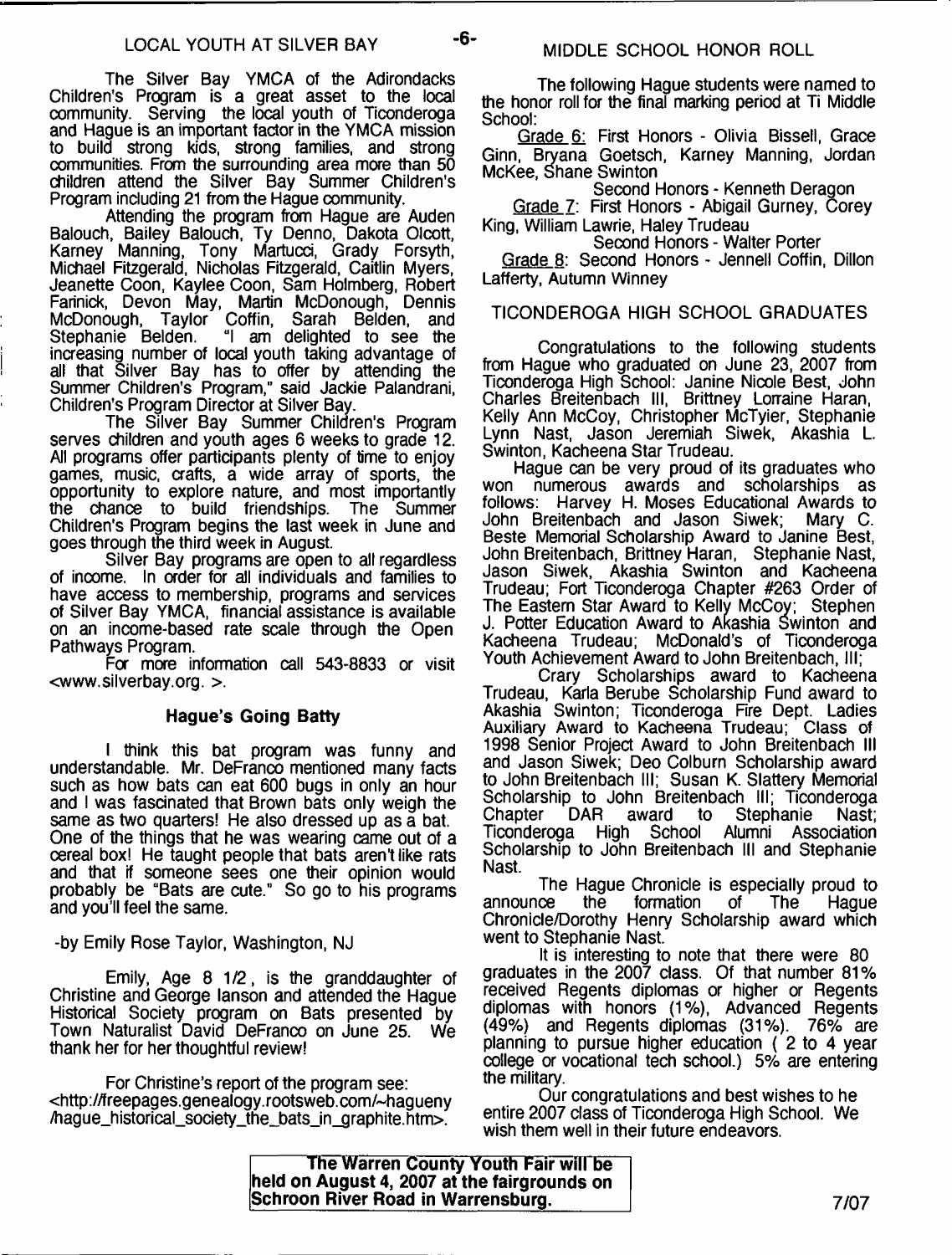-6-

The Silver Bay YMCA of the Adirondacks Children's Program is a great asset to the local community. Serving the local youth of Ticonderoga and Hague is an important factor in the YMCA mission to build strong kids, strong families, and strong communities. From the surrounding area more than 50 children attend the Silver Bay Summer Children's Program including 21 from the Hague community.

Attending the program from Hague are Auden Balouch, Bailey Balouch, Ty Denno, Dakota Olcott, Karney Manning, Tony Martucd, Grady Forsyth, Michael Fitzgerald, Nicholas Fitzgerald, Caitlin Myers, Jeanette Coon, Kaylee Coon, Sam Holmberg, Robert Farinick, Devon May, Martin McDonough, Dennis McDonough, Taylor Coffin, Sarah Belden, and Stephanie Belden. "I am delighted to see the increasing number of local youth taking advantage of all that Silver Bay has to offer by attending the Summer Children's Program," said Jackie Palandrani, Children's Program Director at Silver Bay.

The Silver Bay Summer Children's Program serves children and youth ages 6 weeks to grade 12. All programs offer participants plenty of time to enjoy games, music, crafts, a wide array of sports, the opportunity to explore nature, and most importantly the chance to build friendships. The Summer Children's Program begins the last week in June and goes through the third week in August.

Silver Bay programs are open to all regardless of income. In order for all individuals and families to have access to membership, programs and services of Silver Bay YMCA, financial assistance is available on an income-based rate scale through the Open Pathways Program.

Fa more information call 543-8833 or visit <www.silverbay.org. >.

### **Hague's Going Batty**

I think this bat program was funny and understandable. Mr. DeFranco mentioned many facts such as how bats can eat 600 bugs in only an hour and I was fascinated that Brown bats only weigh the same as two quarters! He also dressed up as a bat. One of the things that he was wearing came out of a cereal box! He taught people that bats aren't like rats and that if someone sees one their opinion would probably be "Bats are cute." So go to his programs and you'll feel the same.

-by Emily Rose Taylor, Washington, NJ

Emily, Age 8 1/2, is the granddaughter of Christine and George lanson and attended the Hague Historical Society program on Bats presented by Town Naturalist David DeFranco on June 25. We thank her for her thoughtful review!

For Christine's report of the program see: <[http://freepages.genealogy.rootsweb.com/~hagueny](http://freepages.genealogy.rootsweb.com/~hagueny%e2%80%a8/hague_historical_society_the_bats_in_graphite.htm) [/hague\\_historical\\_society\\_the\\_bats\\_in\\_graphite.htm](http://freepages.genealogy.rootsweb.com/~hagueny%e2%80%a8/hague_historical_society_the_bats_in_graphite.htm)>.

The following Hague students were named to the honor roll for the final marking period at Ti Middle School:

Grade 6: First Honors - Olivia Bissell, Grace Ginn, Bryana Goetsch, Karney Manning, Jordan McKee, Shane Swinton

Second Honors - Kenneth Deragon Grade 7: First Honors - Abigail Gurney, Corey

King, William Lawrie, Haley Trudeau Second Honors - Walter Porter

Grade 8: Second Honors - Jennell Coffin, Dillon Lafferty, Autumn Winney

### TICONDEROGA HIGH SCHOOL GRADUATES

Congratulations to the following students from Hague who graduated on June 23, 2007 from Ticonderoga High School: Janine Nicole Best, John Charles Breitenbach ill, Brittney Lorraine Haran, Kelly Ann McCoy, Christopher McTyier, Stephanie Lynn Nast, Jason Jeremiah Siwek, Akashia L. Swinton, Kacheena Star Trudeau.

Hague can be very proud of its graduates who won numerous awards and scholarships as follows: Harvey H. Moses Educational Awards to John Breitenbach and Jason Siwek; Beste Memorial Scholarship Award to Janine Best, John Breitenbach, Brittney Haran, Stephanie Nast, Jason Siwek, Akashia Swinton and Kacheena Trudeau; Fort Ticonderoga Chapter #263 Order of The Eastern Star Award to Kelly McCoy; Stephen J. Potter Education Award to Akashia Swinton and Kacheena Trudeau; McDonald's of Ticonderoga Youth Achievement Award to John Breitenbach, III;

Crary Scholarships award to Kacheena Trudeau, Karla Berube Scholarship Fund award to Akashia Swinton; Ticonderoga Fire Dept. Ladies Auxiliary Award to Kacheena Trudeau; Class of 1998 Senior Project Award to John Breitenbach III and Jason Siwek; Deo Colburn Scholarship award to John Breitenbach III; Susan K. Slattery Memorial Scholarship to John Breitenbach III; Ticonderoga<br>Chapter DAR award to Stephanie Nast; Stephanie Nast; Ticonderoga High School Alumni Association Scholarship to John Breitenbach III and Stephanie Nast.

The Hague Chronicle is especially proud to<br>ce the formation of The Hague announce the formation of The Hague Chronicle/Dorothy Henry Scholarship award which went to Stephanie Nast.

It is interesting to note that there were 80 graduates in the 2007 class. Of that number 81% received Regents diplomas or higher or Regents diplomas with honors (1%), Advanced Regents (49%) and Regents diplomas (31%). 76% are planning to pursue higher education ( 2 to 4 year college or vocational tech school.) 5% are entering the military.

Our congratulations and best wishes to he entire 2007 class of Ticonderoga High School. We wish them well in their future endeavors.

**The Warren County Youth Fair will be held on August 4, 2007 at the fairgrounds on Schroon River Road in Warrensburg.\_\_\_\_\_\_\_ 7/07**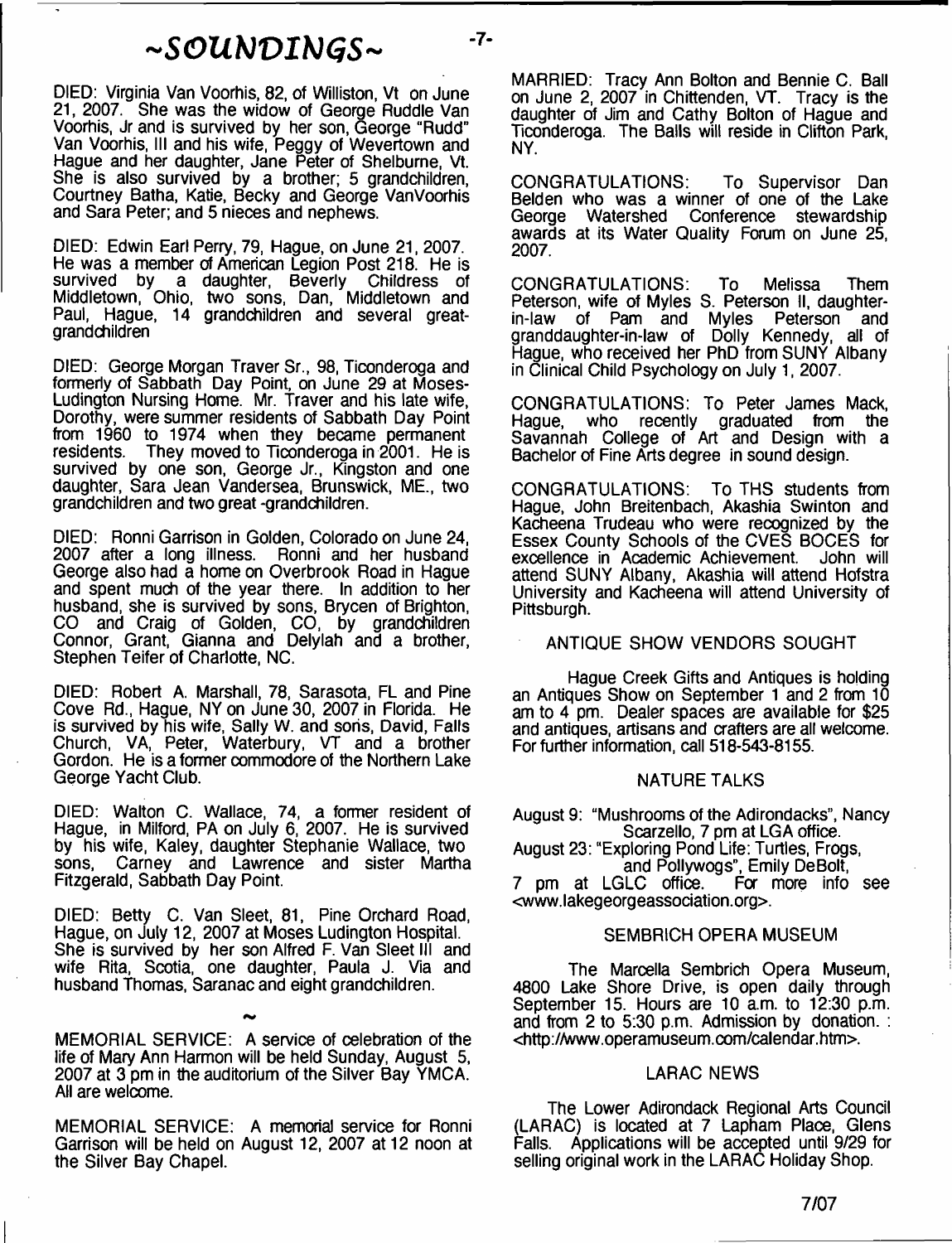# $\sim$ SOUNDINGS $\sim$

DIED: Virginia Van Voorhis, 82, of Williston, Vt on June 21, 2007. She was the widow of George Ruddle Van Voorhis, Jr and is survived by her son, George "Rudd" Van Voorhis, III and his wife, Peggy of Wevertown and Hague and her daughter, Jane Peter of Shelburne, Vt. She is also survived by a brother; 5 grandchildren, Courtney Batha, Katie, Becky and George VanVoorhis and Sara Peter; and 5 nieces and nephews.

DIED: Edwin Earl Perry, 79, Hague, on June 21, 2007. He was a member of American Legion Post 218. He is survived by a daughter, Beverly Childress of Middletown, Ohio, two sons, Dan, Middletown and Paul, Hague, 14 grandchildren and several greatgrandchildren

DIED: George Morgan Traver Sr., 98, Ticonderoga and formerly of Sabbath Day Point, on June 29 at Moses-Ludington Nursing Home. Mr. Traver and his late wife, Dorothy, were summer residents of Sabbath Day Point from 1960 to 1974 when they became permanent residents. They moved to Ticonderoga in 2001. He is survived by one son, George Jr., Kingston and one daughter, Sara Jean Vandersea, Brunswick, ME., two grandchildren and two great -grandchildren.

DIED: Ronni Garrison in Golden, Colorado on June 24, 2007 after a long illness. Ronni and her husband George also had a home on Overbrook Road in Hague and spent much of the year there. In addition to her husband, she is survived by sons, Brycen of Brighton, CO and Craig of Golden, CO, by grandchildren Connor, Grant, Gianna and Delylah and a brother, Stephen Teifer of Charlotte, NC.

DIED: Robert A. Marshall, 78, Sarasota, FL and Pine Cove Rd., Hague, NY on June 30, 2007 in Florida. He is survived by his wife, Sally W. and sons, David, Falls Church, VA, Peter, Waterbury, VT and a brother Gordon. He is a former commodore of the Northern Lake George Yacht Club.

DIED: Walton C. Wallace, 74, a former resident of Hague, in Milford, PA on July 6, 2007. He is survived by his wife, Kaley, daughter Stephanie Wallace, two sons. Carney and Lawrence and sister Martha Carney and Lawrence and sister Martha Fitzgerald, Sabbath Day Point.

DIED: Betty C. Van Sleet, 81, Pine Orchard Road, Hague, on July 12, 2007 at Moses Ludington Hospital. She is survived by her son Alfred F. Van Sleet III and wife Rita, Scotia, one daughter, Paula J. Via and husband Thomas, Saranac and eight grandchildren.

MEMORIAL SERVICE: A service of celebration of the life of Mary Ann Harmon will be held Sunday, August 5, 2007 at 3 pm in the auditorium of the Silver Bay YMCA. All are welcome.

MEMORIAL SERVICE: A memorial service for Ronni Garrison will be held on August 12, 2007 at 12 noon at the Silver Bay Chapel.

MARRIED: Tracy Ann Bolton and Bennie C. Ball on June 2, 2007 in Chittenden, VT. Tracy is the daughter of Jim and Cathy Bolton of Hague and Ticonderoga. The Balls will reside in Clifton Park, NY.

CONGRATULATIONS: To Supervisor Dan Belden who was a winner of one of the Lake George Watershed Conference stewardship awards at its Water Quality Forum on June 25, 2007.

CONGRATULATIONS: To Melissa Them Peterson, wife of Myles S. Peterson II, daughter-<br>in-law of Pam and Myles Peterson and of Pam and Myles granddaughter-in-law of Dolly Kennedy, all of Hague, who received her PhD from SUNY Albany in Clinical Child Psychology on July 1, 2007.

CONGRATULATIONS: To Peter James Mack, Hague, who recently graduated from Savannah College of Art and Design with a Bachelor of Fine Arts degree in sound design.

CONGRATULATIONS: To THS students from Hague, John Breitenbach, Akashia Swinton and Kacheena Trudeau who were recognized by the Essex County Schools of the CVES BOCES for excellence in Academic Achievement. attend SUNY Albany, Akashia will attend Hofstra University and Kacheena will attend University of Pittsburgh.

#### ANTIQUE SHOW VENDORS SOUGHT

Hague Creek Gifts and Antiques is holding an Antiques Show on September 1 and 2 from 10 am to 4 pm. Dealer spaces are available for \$25 and antiques, artisans and crafters are all welcome. For further information, call 518-543-8155.

#### NATURE TALKS

August 9: "Mushrooms of the Adirondacks", Nancy Scarzello, 7 pm at LGA office.

August 23: "Exploring Pond Life: Turtles, Frogs, and Pollywogs", Emily DeBolt,<br>LC office. For more info see

7 pm at LGLC office. <[www.lakegeorgeassociation.org](http://www.lakegeorgeassociation.org)>.

#### SEMBRICH OPERA MUSEUM

The Marcella Sembrich Opera Museum, 4800 Lake Shore Drive, is open daily through September 15. Hours are 10 a.m. to 12:30 p.m. and from 2 to 5:30 p.m. Admission by donation. : <[http://www.operamuseum.com/calendar.htm>](http://www.operamuseum.com/calendar.htm).

#### LARAC NEWS

The Lower Adirondack Regional Arts Council (LARAC) is located at 7 Lapham Place, Glens Falls. Applications will be accepted until 9/29 for selling original work in the LARAC Holiday Shop.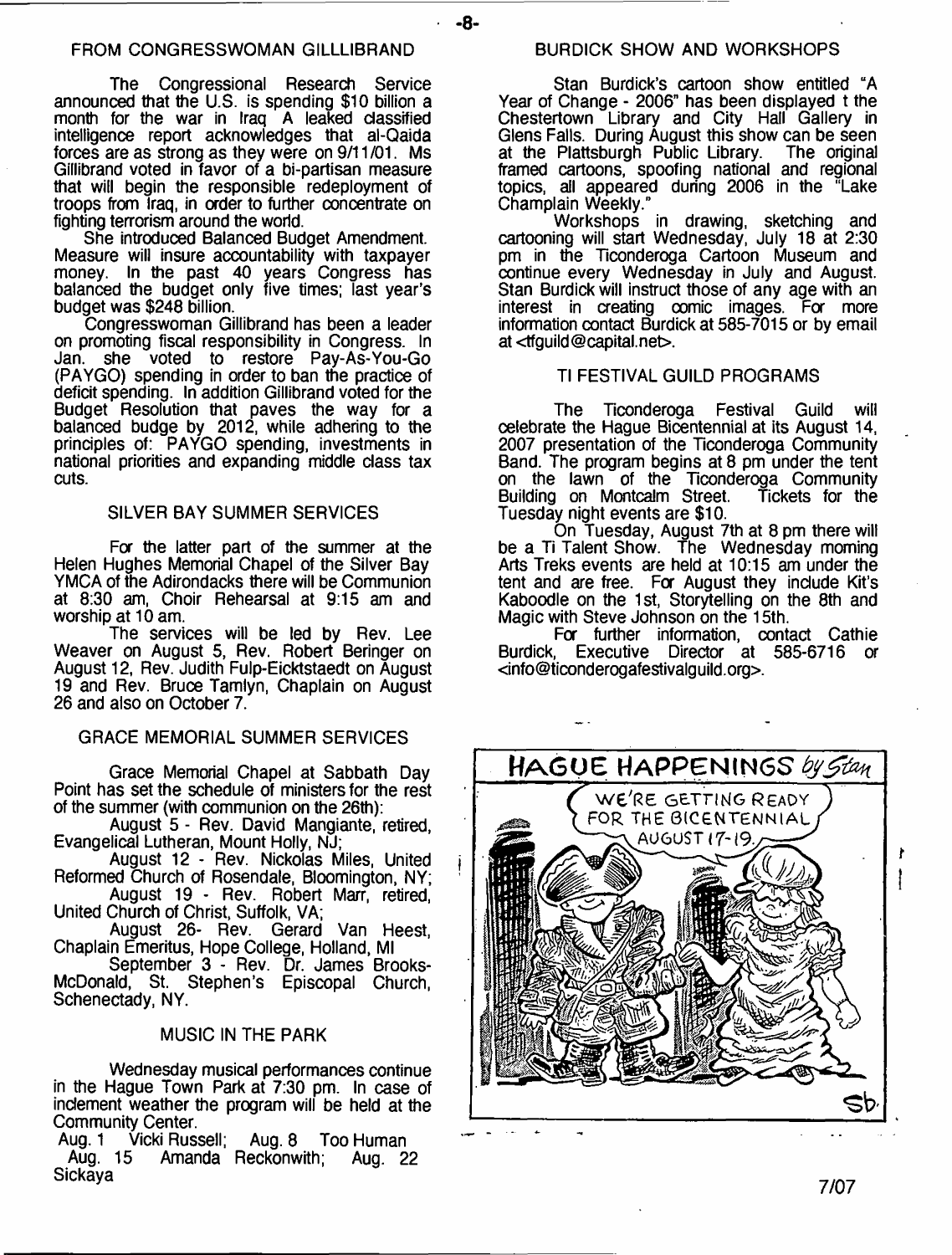**-8-**

The Congressional Research Service announced that the U.S. is spending \$10 billion a month for the war in Iraq A leaked classified intelligence report acknowledges that al-Qaida forces are as strong as they were on 9/11 /01. Ms Gillibrand voted in favor of a bi-partisan measure that will begin the responsible redeployment of troops from Iraq, in order to further concentrate on fighting terrorism around the world.

She introduced Balanced Budget Amendment. Measure will insure accountability with taxpayer money. In the past 40 years Congress has balanced the budget only five times; last year's budget was \$248 billion.

Congresswoman Gillibrand has been a leader on promoting fiscal responsibility in Congress. In Jan. she voted to restore Pay-As-You-Go (PAYGO) spending in order to ban the practice of deficit spending. In addition Gillibrand voted for the Budget Resolution that paves the way for a balanced budge by 2012, while adhering to the principles of: PAYGO spending, investments in national priorities and expanding middle class tax cuts.

#### SILVER BAY SUMMER SERVICES

For the latter part of the summer at the Helen Hughes Memorial Chapel of the Silver Bay YMCA of the Adirondacks there will be Communion at 8:30 am, Choir Rehearsal at 9:15 am and worship at 10 am.

The services will be led by Rev. Lee Weaver on August 5, Rev. Robert Beringer on August 12, Rev. Judith Fulp-Eicktstaedt on August 19 and Rev. Bruce Tamlyn, Chaplain on August 26 and also on October 7.

#### GRACE MEMORIAL SUMMER SERVICES

Grace Memorial Chapel at Sabbath Day Point has set the schedule of ministers for the rest of the summer (with communion on the 26th):

August 5 - Rev. David Mangiante, retired, Evangelical Lutheran, Mount Holly, NJ;

August 12 - Rev. Nickolas Miles, United Reformed Church of Rosendale, Bloomington, NY;

August 19 - Rev. Robert Marr, retired, United Church of Christ, Suffolk, VA;

August 26- Rev. Gerard Van Heest, Chaplain Emeritus, Hope College, Holland, Ml

September 3 - Rev. Dr. James Brooks-McDonald, St. Stephen's Episcopal Church, Schenectady, NY.

### MUSIC IN THE PARK

Wednesday musical performances continue in the Hague Town Park at 7:30 pm. In case of inclement weather the program will be held at the Community Center.<br>Aug. 1 Vicki Russell;

Aug. 1 Vicki Russell; Aug. 8 Too Human Aug. 15 Amanda Reckonwith; Aug. 22 Sickaya

Stan Burdick's cartoon show entitled "A Year of Change - 2006" has been displayed t the Chestertown Library and City Hall Gallery in Glens Falls. During August this show can be seen at the Plattsburgh Public Library. The original framed cartoons, spoofing national and regional topics, ail appeared during 2006 in the "Lake Champlain Weekly."

Workshops in drawing, sketching and cartooning will start Wednesday, July 18 at 2:30 pm in the Ticonderoga Cartoon Museum and continue every Wednesday in July and August. Stan Burdick will instruct those of any age with an interest in creating oomic images. For more information contact Burdick at 585-7015 or by email at <[tfguild@capital.net>](mailto:tfguild@capital.net).

#### Tl FESTIVAL GUILD PROGRAMS

The Ticonderoga Festival Guild will celebrate the Hague Bicentennial at its August 14, 2007 presentation of the Ticonderoga Community Band. The program begins at 8 pm under the tent on the lawn of the Ticonderoga Community Building on Montcalm Street. Tickets for the Tuesday night events are \$10.

On Tuesday, August 7th at 8 pm there will be a Ti Talent Show. The Wednesday moming Arts Treks events are held at 10:15 am under the tent and are free. For August they include Kit's Kaboodle on the 1st, Storytelling on the 8th and Magic with Steve Johnson on the 15th.

For further information, contact Cathie Burdick, Executive Director at 585-6716 a <[info@ticonderogafestivalguild.org>](mailto:info@ticonderogafestivalguild.org).



**7/07**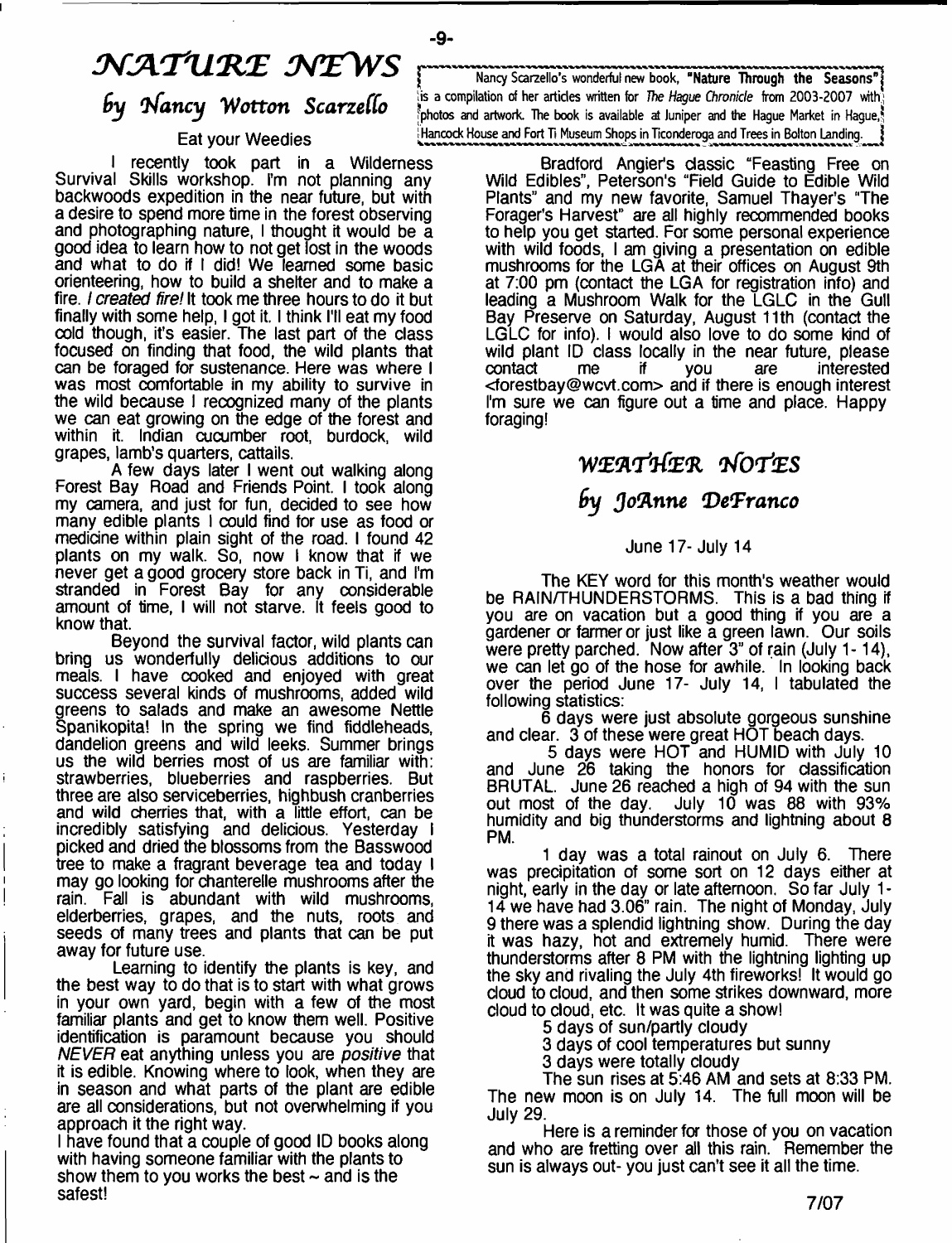# *NATURE NEWS* by Nancy Wotton Scarzello

I recently took part in a Wilderness Survival Skills workshop. I'm not planning any backwoods expedition in the near future, but with a desire to spend more time in the forest observing and photographing nature, I thought it would be a good idea to learn how to not get lost in the woods and what to do rf I did! We learned some basic orienteering, how to build a shelter and to make a fire. *I created fire!* It took me three hours to do it but finally with some help, I got it. I think I'll eat my food cold though, it's easier. The last part of the class focused on finding that food, the wild plants that can be foraged for sustenance. Here was where I was most comfortable in my ability to survive in the wild because I recognized many of the plants we can eat growing on the edge of the forest and within it. Indian cucumber root, burdock, wild grapes, lamb's quarters, cattails.

A few days later I went out walking along Forest Bay Road and Friends Point. I took along my camera, and just for fun, decided to see how many edible plants I could find for use as food or medicine within plain sight of the road. I found 42 plants on my walk. So, now I know that if we never get a good grocery store back in Ti, and I'm stranded in Forest Bay for any considerable amount of time, I will not starve. It feels good to know that.

Beyond the survival factor, wild plants can bring us wonderfully delicious additions to our meals. I have cooked and enjoyed with great success several kinds of mushrooms, added wild greens to salads and make an awesome Nettle Spanikopita! In the spring we find fiddleheads, dandelion greens and wild leeks. Summer brings us the wild berries most of us are familiar with: strawberries, blueberries and raspberries. But three are also serviceberries, highbush cranberries and wild cherries that, with a little effort, can be incredibly satisfying and delicious. Yesterday I picked and dried the blossoms from the Basswood tree to make a fragrant beverage tea and today I may go looking for chanterelle mushrooms after the rain. Fall is abundant with wild mushrooms, elderberries, grapes, and the nuts, roots and seeds of many trees and plants that can be put away for future use.

Learning to identify the plants is key, and the best way to do that is to start with what grows in your own yard, begin with a few of the most familiar plants and get to know them well. Positive identification is paramount because you should *NEVER* eat anything unless you are *positive* that it is edible. Knowing where to look, when they are in season and what parts of the plant are edible are all considerations, but not overwhelming if you approach it the right way.

I have found that a couple of good ID books along with having someone familiar with the plants to show them to you works the best  $\sim$  and is the safest!

Nancy Scarzello's wonderful new book, "Nature Through the Seasons" is a compilation of her articles written for *The Hague Chrvnide* from 2003-2007 with  $^8$ photos and artwork. The book is available at Juniper and the Hague Market in Hague $\frac{8}{3}$ Eat your Weedies **Hancock House and Fort Ti Museum Shops in Ticonderoga and Trees in Bolton Landing.** 

> Bradford Angier's classic "Feasting Free on Wild Edibles", Peterson's "Field Guide to Edible Wild Plants" and my new favorite, Samuel Thayer's "The Forager's Harvest" are all highly recommended books to help you get started. For some personal experience with wild foods, I am giving a presentation on edible mushrooms for the LGA at their offices on August 9th at 7:00 pm (contact the LGA for registration info) and leading a Mushroom Walk for the LGLC in the Gull Bay Preserve on Saturday, August 11th (contact the LGLC for info). I would also love to do some kind of wild plant ID class locally in the near future, please<br>contact me if you are interested contact me if you are interested <[forestbay@wcvt.com](mailto:forestbay@wcvt.com)> and if there is enough interest I'm sure we can figure out a time and place. Happy foraging!

# WfEfl-rtfeR *VfortES*

## *6y Jo'Anne 'DeTranco*

#### June 17- July 14

The KEY word for this month's weather would be RAIN/THUNDERSTORMS. This is a bad thing if you are on vacation but a good thing if you are a gardener or farmer or just like a green lawn. Our soils were pretty parched. Now after 3" of rain (July 1-14), we can let go of the hose for awhile. In looking back over the period June 17- July 14, I tabulated the following statistics:

6 days were just absolute gorgeous sunshine and clear. 3 of these were great HOT beach days.

5 days were HOT and HUMID with July 10 and June 26 taking the honors for classification BRUTAL. June 26 reached a high of 94 with the sun out most of the day. July 10 was 88 with 93% humidity and big thunderstorms and lightning about 8 PM.

1 day was a total rainout on July 6. There was precipitation of some sort on 12 days either at night, early in the day or late afternoon. So far July 1-14 we have had 3.06" rain. The night of Monday, July 9 there was a splendid lightning show. During the day it was hazy, hot and extremely humid. There were thunderstorms after 8 PM with the lightning lighting up the sky and rivaling the July 4th fireworks! It would go cloud to cloud, and then some strikes downward, more cloud to cloud, etc. It was quite a show!

5 days of sun/partly cloudy

3 days of cool temperatures but sunny

3 days were totally cloudy

The sun rises at 5:46 AM and sets at 8:33 PM. The new moon is on July 14. The full moon will be July 29.

Here is a reminder for those of you on vacation and who are fretting over all this rain. Remember the sun is always out- you just can't see it all the time.